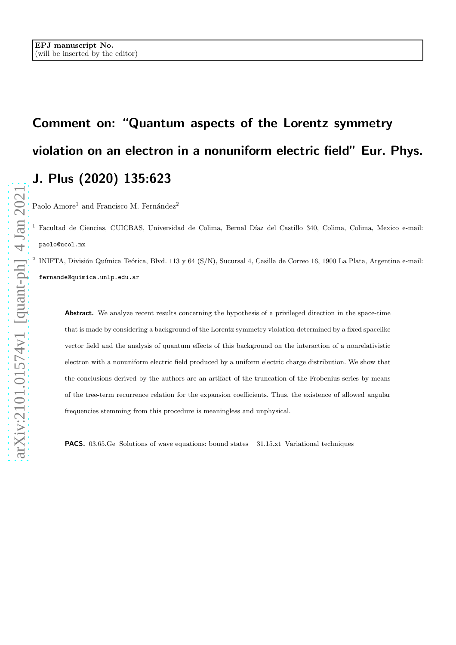## Comment on: "Quantum aspects of the Lorentz symmetry violation on an electron in a nonuniform electric field" Eur. Phys. J. Plus (2020) 135:623

Paolo Amore<sup>1</sup> and Francisco M. Fernández<sup>2</sup>

<sup>1</sup> Facultad de Ciencias, CUICBAS, Universidad de Colima, Bernal Díaz del Castillo 340, Colima, Colima, Mexico e-mail: paolo@ucol.mx

2 INIFTA, División Química Teórica, Blvd. 113 y 64 (S/N), Sucursal 4, Casilla de Correo 16, 1900 La Plata, Argentina e-mail: fernande@quimica.unlp.edu.ar

Abstract. We analyze recent results concerning the hypothesis of a privileged direction in the space-time that is made by considering a background of the Lorentz symmetry violation determined by a fixed spacelike vector field and the analysis of quantum effects of this background on the interaction of a nonrelativistic electron with a nonuniform electric field produced by a uniform electric charge distribution. We show that the conclusions derived by the authors are an artifact of the truncation of the Frobenius series by means of the tree-term recurrence relation for the expansion coefficients. Thus, the existence of allowed angular frequencies stemming from this procedure is meaningless and unphysical.

PACS. 03.65.Ge Solutions of wave equations: bound states – 31.15.xt Variational techniques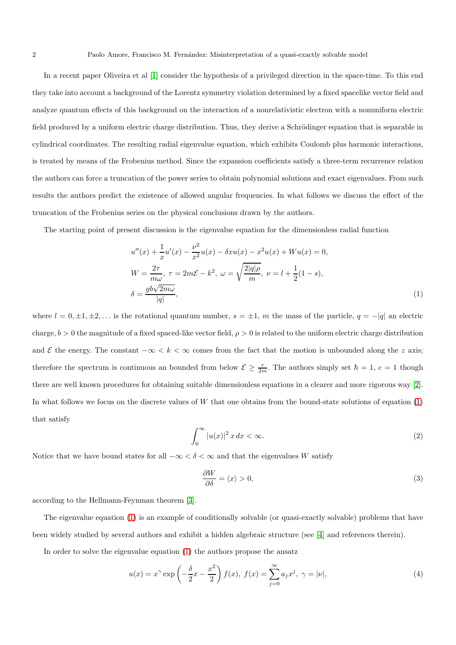In a recent paper Oliveira et al [\[1\]](#page-5-0) consider the hypothesis of a privileged direction in the space-time. To this end they take into account a background of the Lorentz symmetry violation determined by a fixed spacelike vector field and analyze quantum effects of this background on the interaction of a nonrelativistic electron with a nonuniform electric field produced by a uniform electric charge distribution. Thus, they derive a Schrödinger equation that is separable in cylindrical coordinates. The resulting radial eigenvalue equation, which exhibits Coulomb plus harmonic interactions, is treated by means of the Frobenius method. Since the expansion coefficients satisfy a three-term recurrence relation the authors can force a truncation of the power series to obtain polynomial solutions and exact eigenvalues. From such results the authors predict the existence of allowed angular frequencies. In what follows we discuss the effect of the truncation of the Frobenius series on the physical conclusions drawn by the authors.

The starting point of present discussion is the eigenvalue equation for the dimensionless radial function

<span id="page-1-0"></span>
$$
u''(x) + \frac{1}{x}u'(x) - \frac{\nu^2}{x^2}u(x) - \delta x u(x) - x^2 u(x) + W u(x) = 0,
$$
  
\n
$$
W = \frac{2\tau}{m\omega}, \ \tau = 2m\mathcal{E} - k^2, \ \omega = \sqrt{\frac{2|q|\rho}{m}}, \ \nu = l + \frac{1}{2}(1 - s),
$$
  
\n
$$
\delta = \frac{gb\sqrt{2m\omega}}{|q|},
$$
\n(1)

where  $l = 0, \pm 1, \pm 2, \ldots$  is the rotational quantum number,  $s = \pm 1$ , m the mass of the particle,  $q = -|q|$  an electric charge,  $b > 0$  the magnitude of a fixed spaced-like vector field,  $\rho > 0$  is related to the uniform electric charge distribution and E the energy. The constant  $-\infty < k < \infty$  comes from the fact that the motion is unbounded along the z axis; therefore the spectrum is continuous an bounded from below  $\mathcal{E} \geq \frac{\tau}{2m}$ . The authors simply set  $\hbar = 1, c = 1$  though there are well known procedures for obtaining suitable dimensionless equations in a clearer and more rigorous way [\[2\]](#page-5-1). In what follows we focus on the discrete values of  $W$  that one obtains from the bound-state solutions of equation  $(1)$ that satisfy

<span id="page-1-2"></span>
$$
\int_0^\infty |u(x)|^2 \, x \, dx < \infty. \tag{2}
$$

Notice that we have bound states for all  $-\infty < \delta < \infty$  and that the eigenvalues W satisfy

<span id="page-1-3"></span>
$$
\frac{\partial W}{\partial \delta} = \langle x \rangle > 0,\tag{3}
$$

according to the Hellmann-Feynman theorem [\[3\]](#page-5-2).

The eigenvalue equation [\(1\)](#page-1-0) is an example of conditionally solvable (or quasi-exactly solvable) problems that have been widely studied by several authors and exhibit a hidden algebraic structure (see [\[4\]](#page-5-3) and references therein).

In order to solve the eigenvalue equation [\(1\)](#page-1-0) the authors propose the ansatz

<span id="page-1-1"></span>
$$
u(x) = x^{\gamma} \exp\left(-\frac{\delta}{2}x - \frac{x^2}{2}\right) f(x), \ f(x) = \sum_{j=0}^{\infty} a_j x^j, \ \gamma = |\nu|,
$$
 (4)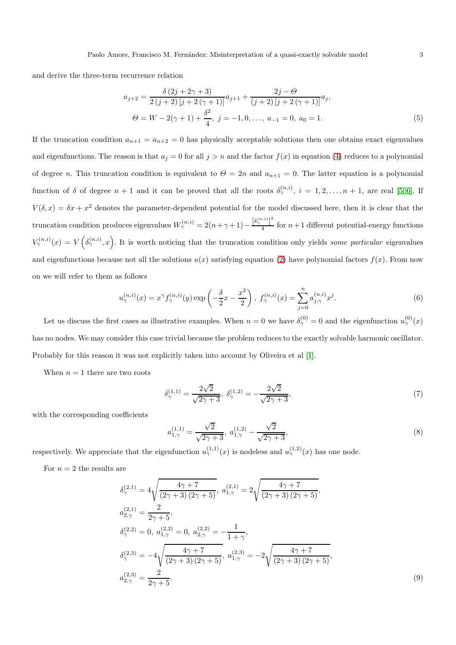and derive the three-term recurrence relation

$$
a_{j+2} = \frac{\delta (2j + 2\gamma + 3)}{2 (j + 2) [j + 2(\gamma + 1)]} a_{j+1} + \frac{2j - \Theta}{(j + 2) [j + 2(\gamma + 1)]} a_j,
$$
  
\n
$$
\Theta = W - 2(\gamma + 1) + \frac{\delta^2}{4}, \ j = -1, 0, \dots, \ a_{-1} = 0, \ a_0 = 1.
$$
\n(5)

If the truncation condition  $a_{n+1} = a_{n+2} = 0$  has physically acceptable solutions then one obtains exact eigenvalues and eigenfunctions. The reason is that  $a_j = 0$  for all  $j > n$  and the factor  $f(x)$  in equation [\(4\)](#page-1-1) reduces to a polynomial of degree n. This truncation condition is equivalent to  $\Theta = 2n$  and  $a_{n+1} = 0$ . The latter equation is a polynomial function of  $\delta$  of degree  $n+1$  and it can be proved that all the roots  $\delta_{\gamma}^{(n,i)}$ ,  $i=1,2,\ldots,n+1$ , are real [\[5,](#page-5-4)6]. If  $V(\delta, x) = \delta x + x^2$  denotes the parameter-dependent potential for the model discussed here, then it is clear that the truncation condition produces eigenvalues  $W^{(n,i)}_{\gamma} = 2(n+\gamma+1)-\frac{\left[\delta^{(n,i)}_{\gamma}\right]^2}{4}$  $\frac{1}{4}$  for  $n+1$  different potential-energy functions  $V^{(n,i)}_{\gamma}(x) = V(\delta^{(n,i)}_{\gamma},x)$ . It is worth noticing that the truncation condition only yields some particular eigenvalues and eigenfunctions because not all the solutions  $u(x)$  satisfying equation [\(2\)](#page-1-2) have polynomial factors  $f(x)$ . From now on we will refer to them as follows

$$
u_{\gamma}^{(n,i)}(x) = x^{\gamma} f_{\gamma}^{(n,i)}(y) \exp\left(-\frac{\delta}{2}x - \frac{x^2}{2}\right), \ f_{\gamma}^{(n,i)}(x) = \sum_{j=0}^{n} a_{j,\gamma}^{(n,i)} x^j.
$$
 (6)

Let us discuss the first cases as illustrative examples. When  $n=0$  we have  $\delta_{\gamma}^{(0)}=0$  and the eigenfunction  $u_{\gamma}^{(0)}(x)$ has no nodes. We may consider this case trivial because the problem reduces to the exactly solvable harmonic oscillator. Probably for this reason it was not explicitly taken into account by Oliveira et al [\[1\]](#page-5-0).

When  $n = 1$  there are two roots

$$
\delta_{\gamma}^{(1,1)} = \frac{2\sqrt{2}}{\sqrt{2\gamma + 3}}, \ \delta_{\gamma}^{(1,2)} = -\frac{2\sqrt{2}}{\sqrt{2\gamma + 3}}, \tag{7}
$$

with the corresponding coefficients

$$
a_{1,\gamma}^{(1,1)} = \frac{\sqrt{2}}{\sqrt{2\gamma + 3}}, \ a_{1,\gamma}^{(1,2)} - \frac{\sqrt{2}}{\sqrt{2\gamma + 3}}, \tag{8}
$$

respectively. We appreciate that the eigenfunction  $u_{\gamma}^{(1,1)}(x)$  is nodeless and  $u_{\gamma}^{(1,2)}(x)$  has one node.

For  $n = 2$  the results are

$$
\delta_{\gamma}^{(2,1)} = 4\sqrt{\frac{4\gamma + 7}{(2\gamma + 3)(2\gamma + 5)}}, \ a_{1,\gamma}^{(2,1)} = 2\sqrt{\frac{4\gamma + 7}{(2\gamma + 3)(2\gamma + 5)}},
$$
\n
$$
a_{2,\gamma}^{(2,1)} = \frac{2}{2\gamma + 5},
$$
\n
$$
\delta_{\gamma}^{(2,2)} = 0, \ a_{1,\gamma}^{(2,2)} = 0, \ a_{2,\gamma}^{(2,2)} = -\frac{1}{1+\gamma},
$$
\n
$$
\delta_{\gamma}^{(2,3)} = -4\sqrt{\frac{4\gamma + 7}{(2\gamma + 3)(2\gamma + 5)}}, \ a_{1,\gamma}^{(2,3)} = -2\sqrt{\frac{4\gamma + 7}{(2\gamma + 3)(2\gamma + 5)}},
$$
\n
$$
a_{2,\gamma}^{(2,3)} = \frac{2}{2\gamma + 5}.
$$
\n(9)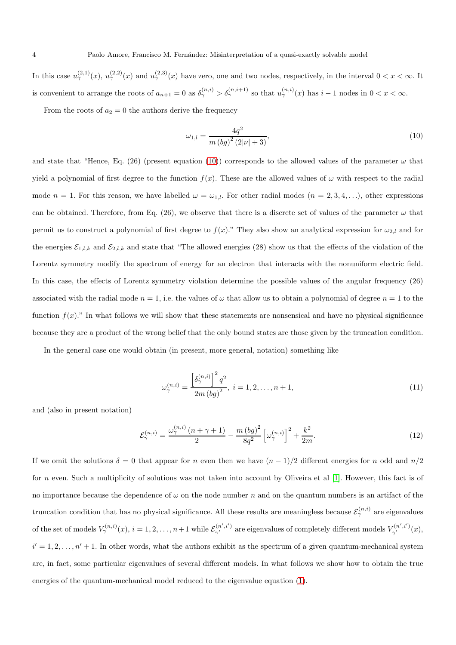In this case  $u_{\gamma}^{(2,1)}(x), u_{\gamma}^{(2,2)}(x)$  and  $u_{\gamma}^{(2,3)}(x)$  have zero, one and two nodes, respectively, in the interval  $0 < x < \infty$ . It is convenient to arrange the roots of  $a_{n+1} = 0$  as  $\delta_{\gamma}^{(n,i)} > \delta_{\gamma}^{(n,i+1)}$  so that  $u_{\gamma}^{(n,i)}(x)$  has  $i-1$  nodes in  $0 < x < \infty$ .

From the roots of  $a_2 = 0$  the authors derive the frequency

<span id="page-3-0"></span>
$$
\omega_{1,l} = \frac{4q^2}{m (bg)^2 (2|\nu| + 3)},\tag{10}
$$

and state that "Hence, Eq. (26) (present equation [\(10\)](#page-3-0)) corresponds to the allowed values of the parameter  $\omega$  that yield a polynomial of first degree to the function  $f(x)$ . These are the allowed values of  $\omega$  with respect to the radial mode  $n = 1$ . For this reason, we have labelled  $\omega = \omega_{1,l}$ . For other radial modes  $(n = 2, 3, 4, \ldots)$ , other expressions can be obtained. Therefore, from Eq. (26), we observe that there is a discrete set of values of the parameter  $\omega$  that permit us to construct a polynomial of first degree to  $f(x)$ ." They also show an analytical expression for  $\omega_{2,l}$  and for the energies  $\mathcal{E}_{1,l,k}$  and  $\mathcal{E}_{2,l,k}$  and state that "The allowed energies (28) show us that the effects of the violation of the Lorentz symmetry modify the spectrum of energy for an electron that interacts with the nonuniform electric field. In this case, the effects of Lorentz symmetry violation determine the possible values of the angular frequency (26) associated with the radial mode  $n = 1$ , i.e. the values of  $\omega$  that allow us to obtain a polynomial of degree  $n = 1$  to the function  $f(x)$ ." In what follows we will show that these statements are nonsensical and have no physical significance because they are a product of the wrong belief that the only bound states are those given by the truncation condition.

In the general case one would obtain (in present, more general, notation) something like

$$
\omega_{\gamma}^{(n,i)} = \frac{\left[\delta_{\gamma}^{(n,i)}\right]^2 q^2}{2m \left(bg\right)^2}, \ i = 1, 2, \dots, n+1,\tag{11}
$$

and (also in present notation)

$$
\mathcal{E}_{\gamma}^{(n,i)} = \frac{\omega_{\gamma}^{(n,i)}(n+\gamma+1)}{2} - \frac{m(bg)^2}{8q^2} \left[\omega_{\gamma}^{(n,i)}\right]^2 + \frac{k^2}{2m}.\tag{12}
$$

If we omit the solutions  $\delta = 0$  that appear for n even then we have  $(n - 1)/2$  different energies for n odd and  $n/2$ for n even. Such a multiplicity of solutions was not taken into account by Oliveira et al [\[1\]](#page-5-0). However, this fact is of no importance because the dependence of  $\omega$  on the node number n and on the quantum numbers is an artifact of the truncation condition that has no physical significance. All these results are meaningless because  $\mathcal{E}_{\gamma}^{(n,i)}$  are eigenvalues of the set of models  $V^{(n,i)}_{\gamma}(x)$ ,  $i = 1, 2, ..., n+1$  while  $\mathcal{E}^{(n',i')}_{\gamma'}$  are eigenvalues of completely different models  $V^{(n',i')}_{\gamma'}(x)$ ,  $i' = 1, 2, \ldots, n' + 1$ . In other words, what the authors exhibit as the spectrum of a given quantum-mechanical system are, in fact, some particular eigenvalues of several different models. In what follows we show how to obtain the true energies of the quantum-mechanical model reduced to the eigenvalue equation [\(1\)](#page-1-0).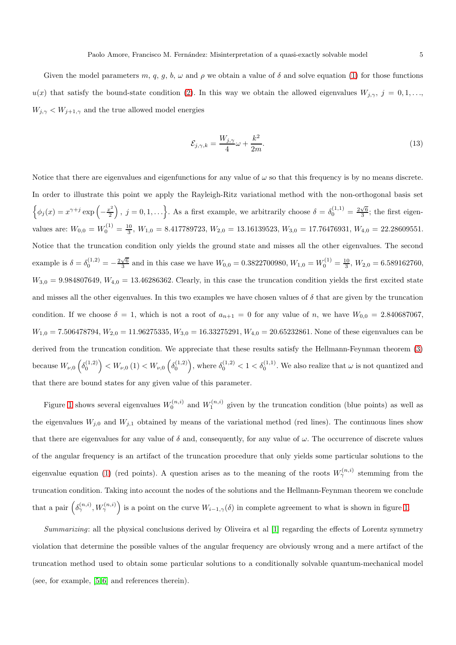Given the model parameters m, q, g, b,  $\omega$  and  $\rho$  we obtain a value of  $\delta$  and solve equation [\(1\)](#page-1-0) for those functions  $u(x)$  that satisfy the bound-state condition [\(2\)](#page-1-2). In this way we obtain the allowed eigenvalues  $W_{j,\gamma}, j = 0,1,...,$  $W_{j,\gamma}$  <  $W_{j+1,\gamma}$  and the true allowed model energies

$$
\mathcal{E}_{j,\gamma,k} = \frac{W_{j,\gamma}}{4}\omega + \frac{k^2}{2m}.\tag{13}
$$

Notice that there are eigenvalues and eigenfunctions for any value of  $\omega$  so that this frequency is by no means discrete. In order to illustrate this point we apply the Rayleigh-Ritz variational method with the non-orthogonal basis set  $\oint \phi_j(x) = x^{\gamma + j} \exp \left(-\frac{x^2}{2}\right)$  $\left(\frac{e^2}{2}\right)$ ,  $j = 0, 1, \ldots$ . As a first example, we arbitrarily choose  $\delta = \delta_0^{(1,1)} = \frac{2\sqrt{6}}{3}$ ; the first eigenvalues are:  $W_{0,0} = W_0^{(1)} = \frac{10}{3}$ ,  $W_{1,0} = 8.417789723$ ,  $W_{2,0} = 13.16139523$ ,  $W_{3,0} = 17.76476931$ ,  $W_{4,0} = 22.28609551$ . Notice that the truncation condition only yields the ground state and misses all the other eigenvalues. The second example is  $\delta = \delta_0^{(1,2)} = -\frac{2\sqrt{6}}{3}$  and in this case we have  $W_{0,0} = 0.3822700980$ ,  $W_{1,0} = W_0^{(1)} = \frac{10}{3}$ ,  $W_{2,0} = 6.589162760$ ,  $W_{3,0} = 9.984807649, W_{4,0} = 13.46286362.$  Clearly, in this case the truncation condition yields the first excited state and misses all the other eigenvalues. In this two examples we have chosen values of  $\delta$  that are given by the truncation condition. If we choose  $\delta = 1$ , which is not a root of  $a_{n+1} = 0$  for any value of n, we have  $W_{0,0} = 2.840687067$ ,  $W_{1,0} = 7.506478794, W_{2,0} = 11.96275335, W_{3,0} = 16.33275291, W_{4,0} = 20.65232861.$  None of these eigenvalues can be derived from the truncation condition. We appreciate that these results satisfy the Hellmann-Feynman theorem [\(3\)](#page-1-3) because  $W_{\nu,0}\left(\delta_0^{(1,2)}\right) < W_{\nu,0}\left(1\right) < W_{\nu,0}\left(\delta_0^{(1,2)}\right)$ , where  $\delta_0^{(1,2)} < 1 < \delta_0^{(1,1)}$ . We also realize that  $\omega$  is not quantized and that there are bound states for any given value of this parameter.

Figure [1](#page-5-6) shows several eigenvalues  $W_0^{(n,i)}$  and  $W_1^{(n,i)}$  given by the truncation condition (blue points) as well as the eigenvalues  $W_{j,0}$  and  $W_{j,1}$  obtained by means of the variational method (red lines). The continuous lines show that there are eigenvalues for any value of  $\delta$  and, consequently, for any value of  $\omega$ . The occurrence of discrete values of the angular frequency is an artifact of the truncation procedure that only yields some particular solutions to the eigenvalue equation [\(1\)](#page-1-0) (red points). A question arises as to the meaning of the roots  $W_{\gamma}^{(n,i)}$  stemming from the truncation condition. Taking into account the nodes of the solutions and the Hellmann-Feynman theorem we conclude that a pair  $(\delta^{(n,i)}_\gamma, W^{(n,i)}_\gamma)$  is a point on the curve  $W_{i-1,\gamma}(\delta)$  in complete agreement to what is shown in figure [1.](#page-5-6)

Summarizing: all the physical conclusions derived by Oliveira et al [\[1\]](#page-5-0) regarding the effects of Lorentz symmetry violation that determine the possible values of the angular frequency are obviously wrong and a mere artifact of the truncation method used to obtain some particular solutions to a conditionally solvable quantum-mechanical model (see, for example, [\[5,](#page-5-4) [6\]](#page-5-5) and references therein).